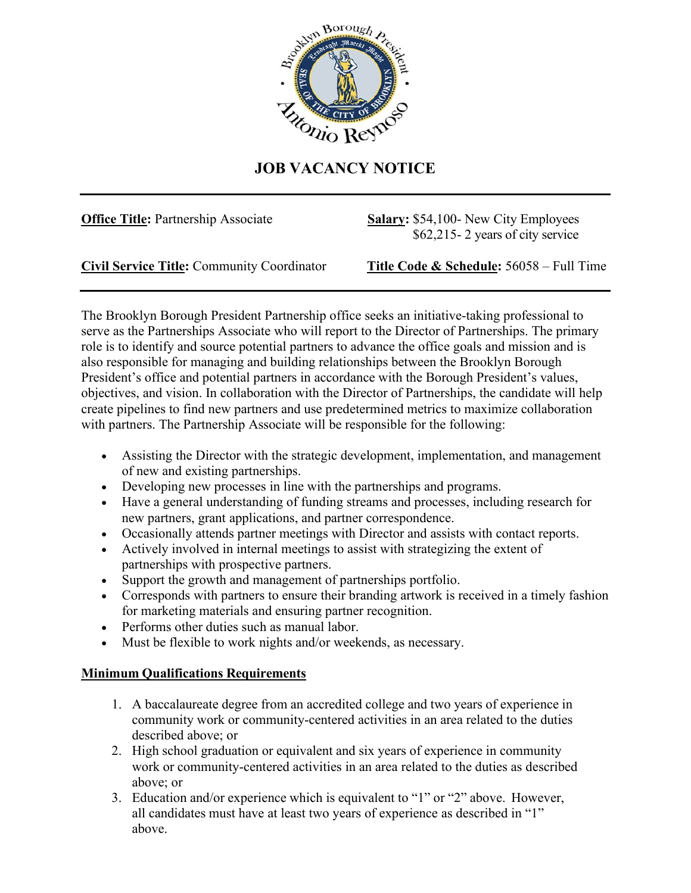

## **JOB VACANCY NOTICE**

**Office Title:** Partnership Associate **Salary:** \$54,100- New City Employees \$62,215- 2 years of city service

**Civil Service Title:** Community Coordinator **Title Code & Schedule:** 56058 – Full Time

The Brooklyn Borough President Partnership office seeks an initiative-taking professional to serve as the Partnerships Associate who will report to the Director of Partnerships. The primary role is to identify and source potential partners to advance the office goals and mission and is also responsible for managing and building relationships between the Brooklyn Borough President's office and potential partners in accordance with the Borough President's values, objectives, and vision. In collaboration with the Director of Partnerships, the candidate will help create pipelines to find new partners and use predetermined metrics to maximize collaboration with partners. The Partnership Associate will be responsible for the following:

- Assisting the Director with the strategic development, implementation, and management of new and existing partnerships.
- Developing new processes in line with the partnerships and programs.
- Have a general understanding of funding streams and processes, including research for new partners, grant applications, and partner correspondence.
- Occasionally attends partner meetings with Director and assists with contact reports.
- Actively involved in internal meetings to assist with strategizing the extent of partnerships with prospective partners.
- Support the growth and management of partnerships portfolio.
- Corresponds with partners to ensure their branding artwork is received in a timely fashion for marketing materials and ensuring partner recognition.
- Performs other duties such as manual labor.
- Must be flexible to work nights and/or weekends, as necessary.

## **Minimum Qualifications Requirements**

- 1. A baccalaureate degree from an accredited college and two years of experience in community work or community-centered activities in an area related to the duties described above; or
- 2. High school graduation or equivalent and six years of experience in community work or community-centered activities in an area related to the duties as described above; or
- 3. Education and/or experience which is equivalent to "1" or "2" above. However, all candidates must have at least two years of experience as described in "1" above.